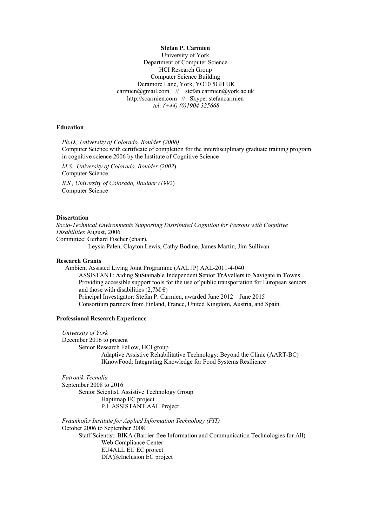## **Stefan P. Carmien**

University of York Department of Computer Science HCI Research Group Computer Science Building Deramore Lane, York, YO10 5GH UK carmien@gmail.com // stefan.carmien@york.ac.uk http://scarmien.com // Skype: stefancarmien *tel: (+44) (0)1904 325668*

# **Education**

*Ph.D., University of Colorado, Boulder (2006)*  Computer Science with certificate of completion for the interdisciplinary graduate training program in cognitive science 2006 by the Institute of Cognitive Science

*M.S., University of Colorado, Boulder (2002*) Computer Science

*B.S., University of Colorado, Boulder (1992*) Computer Science

#### **Dissertation**

*Socio-Technical Environments Supporting Distributed Cognition for Persons with Cognitive Disabilities* August, 2006 Committee: Gerhard Fischer (chair), Leysia Palen, Clayton Lewis, Cathy Bodine, James Martin, Jim Sullivan

#### **Research Grants**

Ambient Assisted Living Joint Programme (AAL JP) AAL-2011-4-040 ASSISTANT: **A**iding **S**u**S**tainable **I**ndependent **S**enior **T**r**A**vellers to **N**avigate in **T**owns Providing accessible support tools for the use of public transportation for European seniors and those with disabilities  $(2,7M \epsilon)$ Principal Investigator: Stefan P. Carmien, awarded June 2012 – June 2015 Consortium partners from Finland, France, United Kingdom, Austria, and Spain.

# **Professional Research Experience**

*University of York* December 2016 to present Senior Research Fellow, HCI group Adaptive Assistive Rehabilitative Technology: Beyond the Clinic (AART-BC) IKnowFood: Integrating Knowledge for Food Systems Resilience

*Fatronik-Tecnalia* 

September 2008 to 2016 Senior Scientist, Assistive Technology Group Haptimap EC project P.I. ASSISTANT AAL Project

*Fraunhofer Institute for Applied Information Technology (FIT)* October 2006 to September 2008 Staff Scientist: BIKA (Barrier-free Information and Communication Technologies for All) Web Compliance Center EU4ALL EU EC project DfA@eInclusion EC project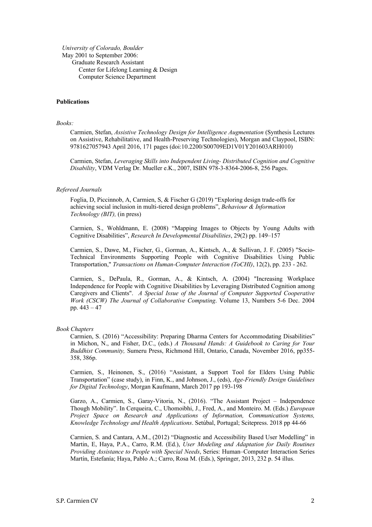*University of Colorado, Boulder*  May 2001 to September 2006: Graduate Research Assistant Center for Lifelong Learning & Design Computer Science Department

#### **Publications**

#### *Books:*

Carmien, Stefan, *Assistive Technology Design for Intelligence Augmentation* (Synthesis Lectures on Assistive, Rehabilitative, and Health-Preserving Technologies), Morgan and Claypool, ISBN: 9781627057943 April 2016, 171 pages (doi:10.2200/S00709ED1V01Y201603ARH010)

Carmien, Stefan, *Leveraging Skills into Independent Living- Distributed Cognition and Cognitive Disability*, VDM Verlag Dr. Mueller e.K., 2007, ISBN 978-3-8364-2006-8, 256 Pages.

## *Refereed Journals*

Foglia, D, Piccinnob, A, Carmien, S, & Fischer G (2019) "Exploring design trade-offs for achieving social inclusion in multi-tiered design problems", *Behaviour & Information Technology (BIT),* (in press)

Carmien, S., Wohldmann, E. (2008) "Mapping Images to Objects by Young Adults with Cognitive Disabilities", *Research In Developmental Disabilities*, 29(2) pp. 149–157

Carmien, S., Dawe, M., Fischer, G., Gorman, A., Kintsch, A., & Sullivan, J. F. (2005) "Socio-Technical Environments Supporting People with Cognitive Disabilities Using Public Transportation," *Transactions on Human-Computer Interaction (ToCHI)*, 12(2), pp. 233 - 262.

Carmien, S., DePaula, R., Gorman, A., & Kintsch, A. (2004) "Increasing Workplace Independence for People with Cognitive Disabilities by Leveraging Distributed Cognition among Caregivers and Clients". *A Special Issue of the Journal of Computer Supported Cooperative Work (CSCW) The Journal of Collaborative Computing*. Volume 13, Numbers 5-6 Dec. 2004 pp.  $443 - 47$ 

#### *Book Chapters*

Carmien, S. (2016) "Accessibility: Preparing Dharma Centers for Accommodating Disabilities" in Michon, N., and Fisher, D.C., (eds.) *A Thousand Hands: A Guidebook to Caring for Your Buddhist Community,* Sumeru Press, Richmond Hill, Ontario, Canada, November 2016, pp355- 358, 386p.

Carmien, S., Heinonen, S., (2016) "Assistant, a Support Tool for Elders Using Public Transportation" (case study), in Finn, K., and Johnson, J., (eds), *Age-Friendly Design Guidelines for Digital Technology*, Morgan Kaufmann, March 2017 pp 193-198

Garzo, A., Carmien, S., Garay-Vitoria, N., (2016). "The Assistant Project – Independence Though Mobility". In Cerqueira, C., Uhomoibhi, J., Fred, A., and Monteiro. M. (Eds.) *European Project Space on Research and Applications of Information, Communication Systems, Knowledge Technology and Health Applications*. Setúbal, Portugal; Scitepress. 2018 pp 44-66

Carmien, S. and Cantara, A.M., (2012) "Diagnostic and Accessibility Based User Modelling" in Martin, E, Haya, P.A., Carro, R.M. (Ed.), *User Modeling and Adaptation for Daily Routines Providing Assistance to People with Special Needs*, Series: Human–Computer Interaction Series Martín, Estefanía; Haya, Pablo A.; Carro, Rosa M. (Eds.), Springer, 2013, 232 p. 54 illus.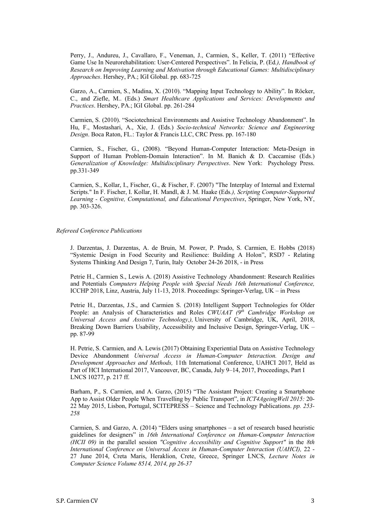Perry, J., Andureu, J., Cavallaro, F., Veneman, J., Carmien, S., Keller, T. (2011) "Effective Game Use In Neurorehabilitation: User-Centered Perspectives". In Felicia, P. (Ed*.), Handbook of Research on Improving Learning and Motivation through Educational Games: Multidisciplinary Approaches*. Hershey, PA.; IGI Global. pp. 683-725

Garzo, A., Carmien, S., Madina, X. (2010). "Mapping Input Technology to Ability". In Röcker, C., and Ziefle, M.. (Eds.) *Smart Healthcare Applications and Services: Developments and Practices*. Hershey, PA.; IGI Global. pp. 261-284

Carmien, S. (2010). "Sociotechnical Environments and Assistive Technology Abandonment". In Hu, F., Mostashari, A., Xie, J. (Eds.) *Socio-technical Networks: Science and Engineering Design*. Boca Raton, FL.: Taylor & Francis LLC, CRC Press. pp. 167-180

Carmien, S., Fischer, G., (2008). "Beyond Human-Computer Interaction: Meta-Design in Support of Human Problem-Domain Interaction". In M. Banich & D. Caccamise (Eds.) *Generalization of Knowledge: Multidisciplinary Perspectives*. New York: Psychology Press. pp.331-349

Carmien, S., Kollar, I., Fischer, G., & Fischer, F. (2007) "The Interplay of Internal and External Scripts." In F. Fischer, I. Kollar, H. Mandl, & J. M. Haake (Eds*.), Scripting Computer-Supported Learning - Cognitive, Computational, and Educational Perspectives*, Springer, New York, NY, pp. 303-326.

# *Refereed Conference Publications*

J. Darzentas, J. Darzentas, A. de Bruin, M. Power, P. Prado, S. Carmien, E. Hobbs (2018) "Systemic Design in Food Security and Resilience: Building A Holon", RSD7 - Relating Systems Thinking And Design 7, Turin, Italy October 24-26 2018, - in Press

Petrie H., Carmien S., Lewis A. (2018) Assistive Technology Abandonment: Research Realities and Potentials *Computers Helping People with Special Needs 16th International Conference,*  ICCHP 2018, Linz, Austria, July 11-13, 2018. Proceedings: Springer-Verlag, UK – in Press

Petrie H., Darzentas, J.S., and Carmien S. (2018) Intelligent Support Technologies for Older People: an Analysis of Characteristics and Roles *CWUAAT (9th Cambridge Workshop on Universal Access and Assistive Technology,),* University of Cambridge, UK, April, 2018, Breaking Down Barriers Usability, Accessibility and Inclusive Design, Springer-Verlag, UK – pp. 87-99

H. Petrie, S. Carmien, and A. Lewis (2017) Obtaining Experiential Data on Assistive Technology Device Abandonment *Universal Access in Human-Computer Interaction. Design and Development Approaches and Methods,* 11th International Conference, UAHCI 2017, Held as Part of HCI International 2017, Vancouver, BC, Canada, July 9–14, 2017, Proceedings, Part I LNCS 10277, p. 217 ff.

Barham, P., S. Carmien, and A. Garzo, (2015) "The Assistant Project: Creating a Smartphone App to Assist Older People When Travelling by Public Transport", in *ICT4AgeingWell 2015:* 20- 22 May 2015, Lisbon, Portugal, SCITEPRESS – Science and Technology Publications. *pp. 253- 258*

Carmien, S. and Garzo, A. (2014) "Elders using smartphones – a set of research based heuristic guidelines for designers" in *16th International Conference on Human-Computer Interaction (HCII 09)* in the parallel session *"Cognitive Accessibility and Cognitive Support"* in the *8th International Conference on Universal Access in Human-Computer Interaction (UAHCI), 22 -*27 June 2014, Creta Maris, Heraklion, Crete, Greece, Springer LNCS, *Lecture Notes in Computer Science Volume 8514, 2014, pp 26-37*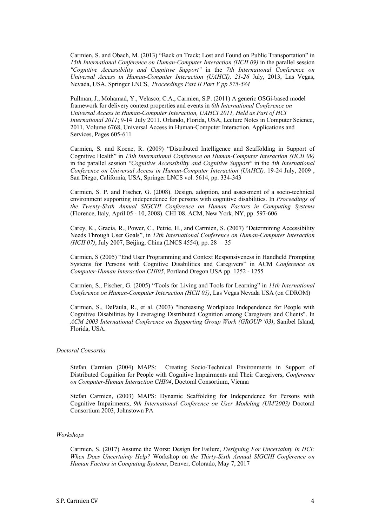Carmien, S. and Obach, M. (2013) "Back on Track: Lost and Found on Public Transportation" in 15th International Conference on Human-Computer Interaction (HCII 09) in the parallel session *"Cognitive Accessibility and Cognitive Support"* in the *7th International Conference on Universal Access in Human-Computer Interaction (UAHCI), 21-26* July, 2013, Las Vegas, Nevada, USA, Springer LNCS, *Proceedings Part II Part V pp 575-584*

Pullman, J., Mohamad, Y., Velasco, C.A., Carmien, S.P. (2011) A generic OSGi-based model framework for delivery context properties and events in *6th International Conference on Universal Access in Human-Computer Interaction, UAHCI 2011, Held as Part of HCI International 2011*; 9-14 July 2011. Orlando, Florida, USA, Lecture Notes in Computer Science, 2011, Volume 6768, Universal Access in Human-Computer Interaction. Applications and Services, Pages 605-611

Carmien, S. and Koene, R. (2009) "Distributed Intelligence and Scaffolding in Support of Cognitive Health" in *13th International Conference on Human-Computer Interaction (HCII 09)* in the parallel session *"Cognitive Accessibility and Cognitive Support"* in the *5th International Conference on Universal Access in Human-Computer Interaction (UAHCI),* 19-24 July, 2009 , San Diego, California, USA, Springer LNCS vol. 5614, pp. 334-343

Carmien, S. P. and Fischer, G. (2008). Design, adoption, and assessment of a socio-technical environment supporting independence for persons with cognitive disabilities. In *Proceedings of the Twenty-Sixth Annual SIGCHI Conference on Human Factors in Computing Systems*  (Florence, Italy, April 05 - 10, 2008). CHI '08. ACM, New York, NY, pp. 597-606

Carey, K., Gracia, R., Power, C., Petrie, H., and Carmien, S. (2007) "Determining Accessibility Needs Through User Goals", in *12th International Conference on Human-Computer Interaction (HCII 07)*, July 2007, Beijing, China (LNCS 4554), pp. 28 – 35

Carmien, S (2005) "End User Programming and Context Responsiveness in Handheld Prompting Systems for Persons with Cognitive Disabilities and Caregivers" in ACM *Conference on Computer-Human Interaction CHI05*, Portland Oregon USA pp. 1252 - 1255

Carmien, S., Fischer, G. (2005) "Tools for Living and Tools for Learning" in *11th International Conference on Human-Computer Interaction (HCII 05)*, Las Vegas Nevada USA (on CDROM)

Carmien, S., DePaula, R., et al. (2003) "Increasing Workplace Independence for People with Cognitive Disabilities by Leveraging Distributed Cognition among Caregivers and Clients". In *ACM 2003 International Conference on Supporting Group Work (GROUP '03)*, Sanibel Island, Florida, USA.

## *Doctoral Consortia*

Stefan Carmien (2004) MAPS: Creating Socio-Technical Environments in Support of Distributed Cognition for People with Cognitive Impairments and Their Caregivers, *Conference on Computer-Human Interaction CHI04*, Doctoral Consortium, Vienna

Stefan Carmien, (2003) MAPS: Dynamic Scaffolding for Independence for Persons with Cognitive Impairments, *9th International Conference on User Modeling (UM'2003)* Doctoral Consortium 2003, Johnstown PA

# *Workshops*

Carmien, S. (2017) Assume the Worst: Design for Failure, *Designing For Uncertainty In HCI: When Does Uncertainty Help?* Workshop on *the Thirty-Sixth Annual SIGCHI Conference on Human Factors in Computing Systems*, Denver, Colorado, May 7, 2017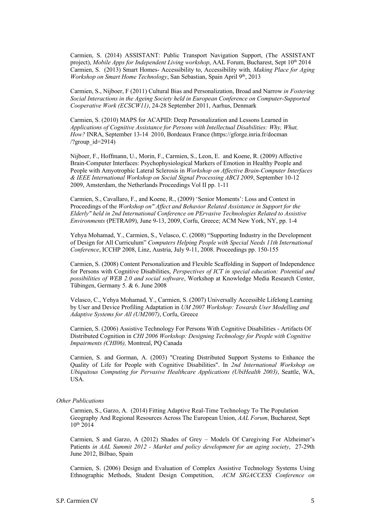Carmien, S. (2014) ASSISTANT: Public Transport Navigation Support, (The ASSISTANT project), *Mobile Apps for Independent Living workshop*, AAL Forum, Bucharest, Sept 10<sup>th</sup> 2014 Carmien, S. (2013) Smart Homes- Accessibility to, Accessibility with*, Making Place for Aging Workshop on Smart Home Technology*, San Sebastian, Spain April 9<sup>th</sup>, 2013

Carmien, S., Nijboer, F (2011) Cultural Bias and Personalization, Broad and Narrow *in Fostering Social Interactions in the Ageing Society held in European Conference on Computer-Supported Cooperative Work (ECSCW11)*, 24-28 September 2011, Aarhus, Denmark

Carmien, S. (2010) MAPS for ACAPID: Deep Personalization and Lessons Learned in *Applications of Cognitive Assistance for Persons with Intellectual Disabilities: Why, What, How?* INRA, September 13-14 2010, Bordeaux France (https://gforge.inria.fr/docman  $\gamma$ <sup>2</sup>group id=2914)

Nijboer, F., Hoffmann, U., Morin, F., Carmien, S., Leon, E. and Koene, R. (2009) Affective Brain-Computer Interfaces: Psychophysiological Markers of Emotion in Healthy People and People with Amyotrophic Lateral Sclerosis in *Workshop on Affective Brain-Computer Interfaces & IEEE International Workshop on Social Signal Processing ABCI 2009*, September 10-12 2009, Amsterdam, the Netherlands Proceedings Vol II pp. 1-11

Carmien, S., Cavallaro, F., and Koene, R., (2009) 'Senior Moments': Loss and Context in Proceedings of the *Workshop on" Affect and Behavior Related Assistance in Support for the Elderly" held in 2nd International Conference on PErvasive Technologies Related to Assistive Environments* (PETRA09), June 9-13, 2009, Corfu, Greece; ACM New York, NY, pp. 1-4

Yehya Mohamad, Y., Carmien, S., Velasco, C. (2008) "Supporting Industry in the Development of Design for All Curriculum" *Computers Helping People with Special Needs 11th International Conference*, ICCHP 2008, Linz, Austria, July 9-11, 2008. Proceedings pp. 150-155

Carmien, S. (2008) Content Personalization and Flexible Scaffolding in Support of Independence for Persons with Cognitive Disabilities, *Perspectives of ICT in special education: Potential and possibilities of WEB 2.0 and social software*, Workshop at Knowledge Media Research Center, Tübingen, Germany 5. & 6. June 2008

Velasco, C., Yehya Mohamad, Y., Carmien, S. (2007) Universally Accessible Lifelong Learning by User and Device Profiling Adaptation in *UM 2007 Workshop: Towards User Modelling and Adaptive Systems for All (UM2007)*, Corfu, Greece

Carmien, S. (2006) Assistive Technology For Persons With Cognitive Disabilities - Artifacts Of Distributed Cognition in *CHI 2006 Workshop: Designing Technology for People with Cognitive Impairments (CHI06),* Montreal, PQ Canada

Carmien, S. and Gorman, A. (2003) "Creating Distributed Support Systems to Enhance the Quality of Life for People with Cognitive Disabilities". In *2nd International Workshop on Ubiquitous Computing for Pervasive Healthcare Applications (UbiHealth 2003)*, Seattle, WA, USA.

# *Other Publications*

Carmien, S., Garzo, A. (2014) Fitting Adaptive Real-Time Technology To The Population Geography And Regional Resources Across The European Union, *AAL Forum*, Bucharest, Sept  $10^{th}$  2014

Carmien, S and Garzo, A (2012) Shades of Grey – Models Of Caregiving For Alzheimer's Patients *in AAL Summit 2012 - Market and policy development for an aging society*, 27-29th June 2012, Bilbao, Spain

Carmien, S. (2006) Design and Evaluation of Complex Assistive Technology Systems Using Ethnographic Methods, Student Design Competition, *ACM SIGACCESS Conference on*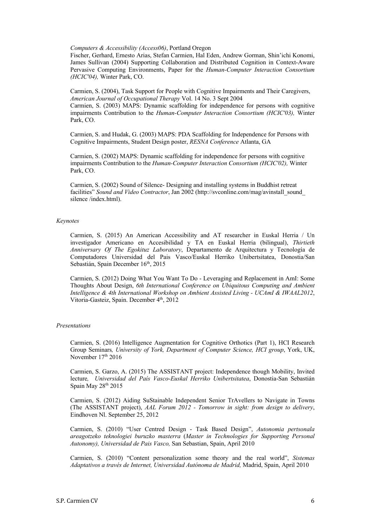*Computers & Accessibility (Access06)*, Portland Oregon

Fischer, Gerhard, Ernesto Arias, Stefan Carmien, Hal Eden, Andrew Gorman, Shin'ichi Konomi, James Sullivan (2004) Supporting Collaboration and Distributed Cognition in Context-Aware Pervasive Computing Environments, Paper for the *Human-Computer Interaction Consortium (HCIC'04),* Winter Park, CO.

Carmien, S. (2004), Task Support for People with Cognitive Impairments and Their Caregivers, *American Journal of Occupational Therapy* Vol. 14 No. 3 Sept 2004

Carmien, S. (2003) MAPS: Dynamic scaffolding for independence for persons with cognitive impairments Contribution to the *Human-Computer Interaction Consortium (HCIC'03),* Winter Park, CO.

Carmien, S. and Hudak, G. (2003) MAPS: PDA Scaffolding for Independence for Persons with Cognitive Impairments, Student Design poster, *RESNA Conference* Atlanta, GA

Carmien, S. (2002) MAPS: Dynamic scaffolding for independence for persons with cognitive impairments Contribution to the *Human-Computer Interaction Consortium (HCIC'02),* Winter Park, CO.

Carmien, S. (2002) Sound of Silence- Designing and installing systems in Buddhist retreat facilities" *Sound and Video Contractor*, Jan 2002 (http://svconline.com/mag/avinstall\_sound\_ silence /index.html).

## *Keynotes*

Carmien, S. (2015) An American Accessibility and AT researcher in Euskal Herria / Un investigador Americano en Accesibilidad y TA en Euskal Herria (bilingual), *Thirtieth Anniversary Of The Egokituz Laboratory*, Departamento de Arquitectura y Tecnología de Computadores Universidad del Pais Vasco/Euskal Herriko Unibertsitatea, Donostia/San Sebastián, Spain December 16th, 2015

Carmien, S. (2012) Doing What You Want To Do - Leveraging and Replacement in AmI: Some Thoughts About Design, *6th International Conference on Ubiquitous Computing and Ambient Intelligence & 4th International Workshop on Ambient Assisted Living - UCAmI & IWAAL2012*, Vitoria-Gasteiz, Spain. December 4<sup>th</sup>, 2012

# *Presentations*

Carmien, S. (2016) Intelligence Augmentation for Cognitive Orthotics (Part 1), HCI Research Group Seminars*, University of York, Department of Computer Science, HCI group*, York, UK, November  $17<sup>th</sup> 2016$ 

Carmien, S. Garzo, A. (2015) The ASSISTANT project: Independence though Mobility, Invited lecture*, Universidad del País Vasco-Euskal Herriko Unibertsitatea*, Donostia-San Sebastián Spain May  $28<sup>th</sup> 2015$ 

Carmien, S. (2012) Aiding SuStainable Independent Senior TrAvellers to Navigate in Towns (The ASSISTANT project), *AAL Forum 2012 - Tomorrow in sight: from design to delivery*, Eindhoven Nl. September 25, 2012

Carmien, S. (2010) "User Centred Design - Task Based Design", *Autonomia pertsonala areagotzeko teknologiei buruzko masterra* (*Master in Technologies for Supporting Personal Autonomy), Universidad de Pais Vasco,* San Sebastian, Spain, April 2010

Carmien, S. (2010) "Content personalization some theory and the real world", *Sistemas Adaptativos a través de Internet, Universidad Autónoma de Madrid,* Madrid, Spain, April 2010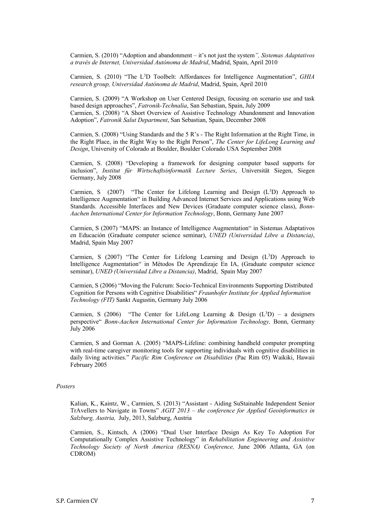Carmien, S. (2010) "Adoption and abandonment – it's not just the system*", Sistemas Adaptativos a través de Internet, Universidad Autónoma de Madrid*, Madrid, Spain, April 2010

Carmien, S. (2010) "The L<sup>3</sup>D Toolbelt: Affordances for Intelligence Augmentation", *GHIA research group, Universidad Autónoma de Madrid*, Madrid, Spain, April 2010

Carmien, S. (2009) "A Workshop on User Centered Design, focusing on scenario use and task based design approaches", *Fatronik-Technalia*, San Sebastian, Spain, July 2009 Carmien, S. (2008) "A Short Overview of Assistive Technology Abandonment and Innovation Adoption", *Fatronik Salut Department*, San Sebastian, Spain, December 2008

Carmien, S. (2008) "Using Standards and the 5 R's - The Right Information at the Right Time, in the Right Place, in the Right Way to the Right Person", *The Center for LifeLong Learning and Design*, University of Colorado at Boulder, Boulder Colorado USA September 2008

Carmien, S. (2008) "Developing a framework for designing computer based supports for inclusion", *Institut für Wirtschaftsinformatik Lecture Series*, Universität Siegen, Siegen Germany, July 2008

Carmien, S  $(2007)$  "The Center for Lifelong Learning and Design  $(L<sup>3</sup>D)$  Approach to Intelligence Augmentation" in Building Advanced Internet Services and Applications using Web Standards. Accessible Interfaces and New Devices (Graduate computer science class), *Bonn-Aachen International Center for Information Technology*, Bonn, Germany June 2007

Carmien, S (2007) "MAPS: an Instance of Intelligence Augmentation" in Sistemas Adaptativos en Educación (Graduate computer science seminar), *UNED (Universidad Libre a Distancia)*, Madrid, Spain May 2007

Carmien, S (2007) "The Center for Lifelong Learning and Design  $(L<sup>3</sup>D)$  Approach to Intelligence Augmentation" in Métodos De Aprendizaje En IA, (Graduate computer science seminar), *UNED (Universidad Libre a Distancia)*, Madrid, Spain May 2007

Carmien, S (2006) "Moving the Fulcrum: Socio-Technical Environments Supporting Distributed Cognition for Persons with Cognitive Disabilities" *Fraunhofer Institute for Applied Information Technology (FIT)* Sankt Augustin, Germany July 2006

Carmien, S (2006) "The Center for LifeLong Learning & Design  $(L^{3}D)$  – a designers perspective" *Bonn-Aachen International Center for Information Technology,* Bonn, Germany July 2006

Carmien, S and Gorman A. (2005) "MAPS-Lifeline: combining handheld computer prompting with real-time caregiver monitoring tools for supporting individuals with cognitive disabilities in daily living activities." *Pacific Rim Conference on Disabilities* (Pac Rim 05) Waikiki, Hawaii February 2005

## *Posters*

Kalian, K., Kaintz, W., Carmien, S. (2013) "Assistant - Aiding SuStainable Independent Senior TrAvellers to Navigate in Towns" *AGIT 2013 – the conference for Applied Geoinformatics in Salzburg, Austria,* July, 2013, Salzburg, Austria

Carmien, S., Kintsch, A (2006) "Dual User Interface Design As Key To Adoption For Computationally Complex Assistive Technology" in *Rehabilitation Engineering and Assistive Technology Society of North America (RESNA) Conference,* June 2006 Atlanta, GA (on CDROM)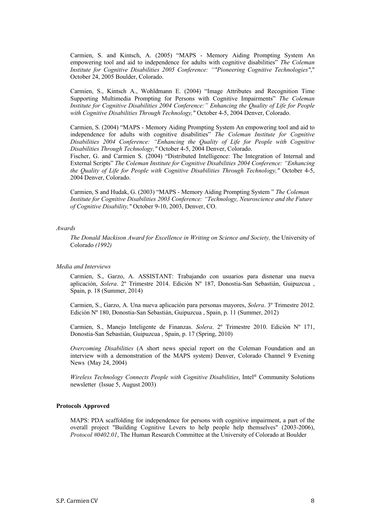Carmien, S. and Kintsch, A. (2005) "MAPS - Memory Aiding Prompting System An empowering tool and aid to independence for adults with cognitive disabilities" *The Coleman Institute for Cognitive Disabilities 2005 Conference: ""Pioneering Cognitive Technologies"*," October 24, 2005 Boulder, Colorado.

Carmien, S., Kintsch A., Wohldmann E. (2004) "Image Attributes and Recognition Time Supporting Multimedia Prompting for Persons with Cognitive Impairments" *The Coleman Institute for Cognitive Disabilities 2004 Conference:" Enhancing the Quality of Life for People with Cognitive Disabilities Through Technology,"* October 4-5, 2004 Denver, Colorado.

Carmien, S. (2004) "MAPS - Memory Aiding Prompting System An empowering tool and aid to independence for adults with cognitive disabilities" *The Coleman Institute for Cognitive Disabilities 2004 Conference: "Enhancing the Quality of Life for People with Cognitive Disabilities Through Technology,"* October 4-5, 2004 Denver, Colorado.

Fischer, G. and Carmien S. (2004) "Distributed Intelligence: The Integration of Internal and External Scripts" *The Coleman Institute for Cognitive Disabilities 2004 Conference: "Enhancing the Quality of Life for People with Cognitive Disabilities Through Technology,"* October 4-5, 2004 Denver, Colorado.

Carmien, S and Hudak, G. (2003) "MAPS - Memory Aiding Prompting System " *The Coleman Institute for Cognitive Disabilities 2003 Conference: "Technology, Neuroscience and the Future of Cognitive Disability,"* October 9-10, 2003, Denver, CO.

## *Awards*

*The Donald Mackison Award for Excellence in Writing on Science and Society,* the University of Colorado *(1992)*

## *Media and Interviews*

Carmien, S., Garzo, A. ASSISTANT: Trabajando con usuarios para disnenar una nueva aplicación, *Solera*. 2º Trimestre 2014. Edición Nº 187, Donostia-San Sebastián, Guipuzcua , Spain, p. 18 (Summer, 2014)

Carmien, S., Garzo, A. Una nueva aplicación para personas mayores, *Solera*. 3º Trimestre 2012. Edición Nº 180, Donostia-San Sebastián, Guipuzcua , Spain, p. 11 (Summer, 2012)

Carmien, S., Manejo Inteligente de Finanzas. *Solera*. 2º Trimestre 2010. Edición Nº 171, Donostia-San Sebastián, Guipuzcua , Spain, p. 17 (Spring, 2010)

*Overcoming Disabilities* (A short news special report on the Coleman Foundation and an interview with a demonstration of the MAPS system) Denver, Colorado Channel 9 Evening News (May 24, 2004)

*Wireless Technology Connects People with Cognitive Disabilities*, Intel® Community Solutions newsletter (Issue 5, August 2003)

#### **Protocols Approved**

MAPS: PDA scaffolding for independence for persons with cognitive impairment, a part of the overall project "Building Cognitive Levers to help people help themselves" (2003-2006), *Protocol #0402.01*, The Human Research Committee at the University of Colorado at Boulder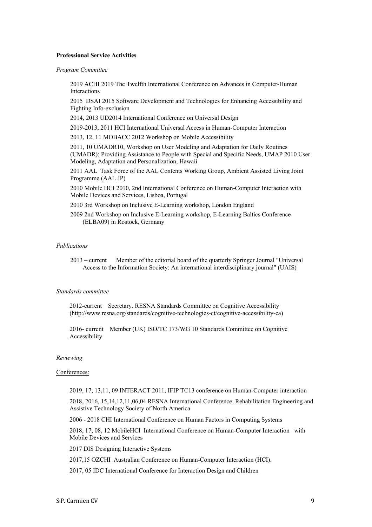#### **Professional Service Activities**

*Program Committee*

2019 ACHI 2019 The Twelfth International Conference on Advances in Computer-Human Interactions

2015 DSAI 2015 Software Development and Technologies for Enhancing Accessibility and Fighting Info-exclusion

2014, 2013 UD2014 International Conference on Universal Design

2019-2013, 2011 HCI International Universal Access in Human-Computer Interaction

2013, 12, 11 MOBACC 2012 Workshop on Mobile Accessibility

2011, 10 UMADR10, Workshop on User Modeling and Adaptation for Daily Routines (UMADR): Providing Assistance to People with Special and Specific Needs, UMAP 2010 User Modeling, Adaptation and Personalization, Hawaii

2011 AAL Task Force of the AAL Contents Working Group, Ambient Assisted Living Joint Programme (AAL JP)

2010 Mobile HCI 2010, 2nd International Conference on Human-Computer Interaction with Mobile Devices and Services, Lisboa, Portugal

2010 3rd Workshop on Inclusive E-Learning workshop, London England

2009 2nd Workshop on Inclusive E-Learning workshop, E-Learning Baltics Conference (ELBA09) in Rostock, Germany

#### *Publications*

2013 – current Member of the editorial board of the quarterly Springer Journal "Universal Access to the Information Society: An international interdisciplinary journal" (UAIS)

## *Standards committee*

2012-current Secretary. RESNA Standards Committee on Cognitive Accessibility (http://www.resna.org/standards/cognitive-technologies-ct/cognitive-accessibility-ca)

2016- current Member (UK) ISO/TC 173/WG 10 Standards Committee on Cognitive Accessibility

#### *Reviewing*

# Conferences:

2019, 17, 13,11, 09 INTERACT 2011, IFIP TC13 conference on Human-Computer interaction

2018, 2016, 15,14,12,11,06,04 RESNA International Conference, Rehabilitation Engineering and Assistive Technology Society of North America

2006 - 2018 CHI International Conference on Human Factors in Computing Systems

2018, 17, 08, 12 MobileHCI International Conference on Human-Computer Interaction with Mobile Devices and Services

2017 DIS Designing Interactive Systems

2017,15 OZCHI Australian Conference on Human-Computer Interaction (HCI).

2017, 05 IDC International Conference for Interaction Design and Children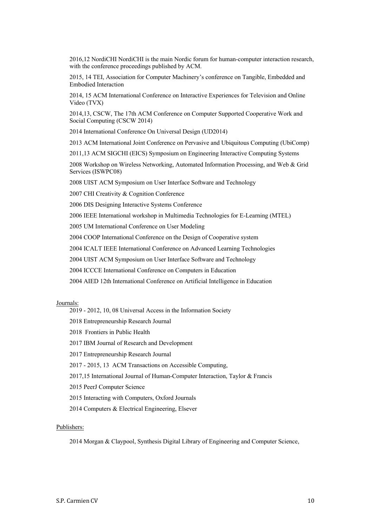2016,12 NordiCHI NordiCHI is the main Nordic forum for human-computer interaction research, with the conference proceedings published by ACM.

2015, 14 TEI, Association for Computer Machinery's conference on Tangible, Embedded and Embodied Interaction

2014, 15 ACM International Conference on Interactive Experiences for Television and Online Video (TVX)

2014,13, CSCW, The 17th ACM Conference on Computer Supported Cooperative Work and Social Computing (CSCW 2014)

2014 International Conference On Universal Design (UD2014)

2013 ACM International Joint Conference on Pervasive and Ubiquitous Computing (UbiComp)

2011,13 ACM SIGCHI (EICS) Symposium on Engineering Interactive Computing Systems

2008 Workshop on Wireless Networking, Automated Information Processing, and Web & Grid Services (ISWPC08)

2008 UIST ACM Symposium on User Interface Software and Technology

2007 CHI Creativity & Cognition Conference

2006 DIS Designing Interactive Systems Conference

2006 IEEE International workshop in Multimedia Technologies for E-Learning (MTEL)

2005 UM International Conference on User Modeling

2004 COOP International Conference on the Design of Cooperative system

2004 ICALT IEEE International Conference on Advanced Learning Technologies

2004 UIST ACM Symposium on User Interface Software and Technology

2004 ICCCE International Conference on Computers in Education

2004 AIED 12th International Conference on Artificial Intelligence in Education

## Journals:

- 2019 2012, 10, 08 Universal Access in the Information Society
- 2018 Entrepreneurship Research Journal
- 2018 Frontiers in Public Health
- 2017 IBM Journal of Research and Development
- 2017 Entrepreneurship Research Journal

2017 - 2015, 13 ACM Transactions on Accessible Computing,

2017,15 International Journal of Human-Computer Interaction, Taylor & Francis

- 2015 PeerJ Computer Science
- 2015 Interacting with Computers, Oxford Journals
- 2014 Computers & Electrical Engineering, Elsever

# Publishers:

2014 Morgan & Claypool, Synthesis Digital Library of Engineering and Computer Science,